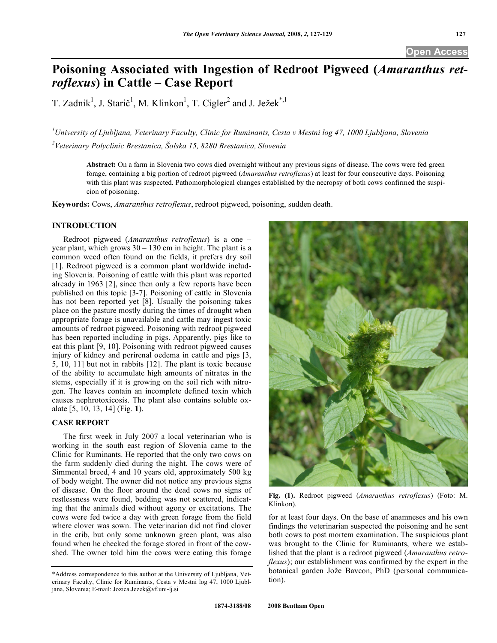# **Poisoning Associated with Ingestion of Redroot Pigweed (***Amaranthus retroflexus***) in Cattle – Case Report**

T. Zadnik<sup>1</sup>, J. Starič<sup>1</sup>, M. Klinkon<sup>1</sup>, T. Cigler<sup>2</sup> and J. Ježek<sup>\*,1</sup>

*1 University of Ljubljana, Veterinary Faculty, Clinic for Ruminants, Cesta v Mestni log 47, 1000 Ljubljana, Slovenia*  <sup>2</sup>Veterinary Polyclinic Brestanica, Šolska 15, 8280 Brestanica, Slovenia

**Abstract:** On a farm in Slovenia two cows died overnight without any previous signs of disease. The cows were fed green forage, containing a big portion of redroot pigweed (*Amaranthus retroflexus*) at least for four consecutive days. Poisoning with this plant was suspected. Pathomorphological changes established by the necropsy of both cows confirmed the suspicion of poisoning.

**Keywords:** Cows, *Amaranthus retroflexus*, redroot pigweed, poisoning, sudden death.

### **INTRODUCTION**

 Redroot pigweed (*Amaranthus retroflexus*) is a one – year plant, which grows  $30 - 130$  cm in height. The plant is a common weed often found on the fields, it prefers dry soil [1]. Redroot pigweed is a common plant worldwide including Slovenia. Poisoning of cattle with this plant was reported already in 1963 [2], since then only a few reports have been published on this topic [3-7]. Poisoning of cattle in Slovenia has not been reported yet [8]. Usually the poisoning takes place on the pasture mostly during the times of drought when appropriate forage is unavailable and cattle may ingest toxic amounts of redroot pigweed. Poisoning with redroot pigweed has been reported including in pigs. Apparently, pigs like to eat this plant [9, 10]. Poisoning with redroot pigweed causes injury of kidney and perirenal oedema in cattle and pigs [3, 5, 10, 11] but not in rabbits [12]. The plant is toxic because of the ability to accumulate high amounts of nitrates in the stems, especially if it is growing on the soil rich with nitrogen. The leaves contain an incomplete defined toxin which causes nephrotoxicosis. The plant also contains soluble oxalate [5, 10, 13, 14] (Fig. **1**).

## **CASE REPORT**

 The first week in July 2007 a local veterinarian who is working in the south east region of Slovenia came to the Clinic for Ruminants. He reported that the only two cows on the farm suddenly died during the night. The cows were of Simmental breed, 4 and 10 years old, approximately 500 kg of body weight. The owner did not notice any previous signs of disease. On the floor around the dead cows no signs of restlessness were found, bedding was not scattered, indicating that the animals died without agony or excitations. The cows were fed twice a day with green forage from the field where clover was sown. The veterinarian did not find clover in the crib, but only some unknown green plant, was also found when he checked the forage stored in front of the cowshed. The owner told him the cows were eating this forage



**Fig. (1).** Redroot pigweed (*Amaranthus retroflexus*) (Foto: M. Klinkon).

for at least four days. On the base of anamneses and his own findings the veterinarian suspected the poisoning and he sent both cows to post mortem examination. The suspicious plant was brought to the Clinic for Ruminants, where we established that the plant is a redroot pigweed (*Amaranthus retroflexus*); our establishment was confirmed by the expert in the botanical garden Jože Bavcon, PhD (personal communication).

<sup>\*</sup>Address correspondence to this author at the University of Ljubljana, Veterinary Faculty, Clinic for Ruminants, Cesta v Mestni log 47, 1000 Ljubljana, Slovenia; E-mail: Jozica.Jezek@vf.uni-lj.si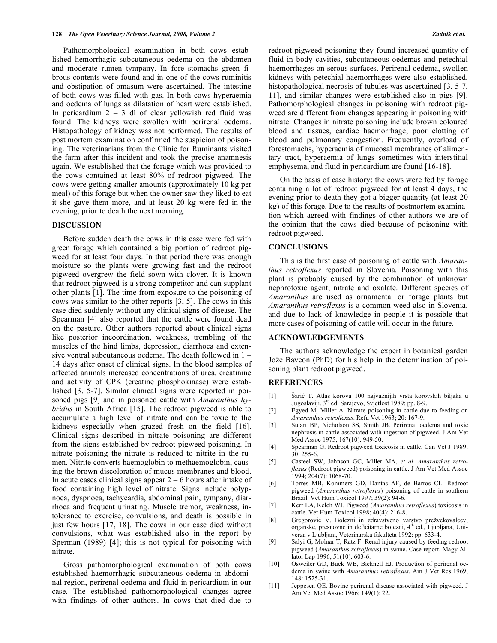Pathomorphological examination in both cows established hemorrhagic subcutaneous oedema on the abdomen and moderate rumen tympany. In fore stomachs green fibrous contents were found and in one of the cows ruminitis and obstipation of omasum were ascertained. The intestine of both cows was filled with gas. In both cows hyperaemia and oedema of lungs as dilatation of heart were established. In pericardium  $2 - 3$  dl of clear yellowish red fluid was found. The kidneys were swollen with perirenal oedema. Histopathology of kidney was not performed. The results of post mortem examination confirmed the suspicion of poisoning. The veterinarians from the Clinic for Ruminants visited the farm after this incident and took the precise anamnesis again. We established that the forage which was provided to the cows contained at least 80% of redroot pigweed. The cows were getting smaller amounts (approximately 10 kg per meal) of this forage but when the owner saw they liked to eat it she gave them more, and at least 20 kg were fed in the evening, prior to death the next morning.

#### **DISCUSSION**

 Before sudden death the cows in this case were fed with green forage which contained a big portion of redroot pigweed for at least four days. In that period there was enough moisture so the plants were growing fast and the redroot pigweed overgrew the field sown with clover. It is known that redroot pigweed is a strong competitor and can supplant other plants [1]. The time from exposure to the poisoning of cows was similar to the other reports [3, 5]. The cows in this case died suddenly without any clinical signs of disease. The Spearman [4] also reported that the cattle were found dead on the pasture. Other authors reported about clinical signs like posterior incoordination, weakness, trembling of the muscles of the hind limbs, depression, diarrhoea and extensive ventral subcutaneous oedema. The death followed in 1 – 14 days after onset of clinical signs. In the blood samples of affected animals increased concentrations of urea, creatinine and activity of CPK (creatine phosphokinase) were established [3, 5-7]. Similar clinical signs were reported in poisoned pigs [9] and in poisoned cattle with *Amaranthus hybridus* in South Africa [15]. The redroot pigweed is able to accumulate a high level of nitrate and can be toxic to the kidneys especially when grazed fresh on the field [16]. Clinical signs described in nitrate poisoning are different from the signs established by redroot pigweed poisoning. In nitrate poisoning the nitrate is reduced to nitrite in the rumen. Nitrite converts haemoglobin to methaemoglobin, causing the brown discoloration of mucus membranes and blood. In acute cases clinical signs appear  $2 - 6$  hours after intake of food containing high level of nitrate. Signs include polypnoea, dyspnoea, tachycardia, abdominal pain, tympany, diarrhoea and frequent urinating. Muscle tremor, weakness, intolerance to exercise, convulsions, and death is possible in just few hours [17, 18]. The cows in our case died without convulsions, what was established also in the report by Sperman (1989) [4]; this is not typical for poisoning with nitrate.

 Gross pathomorphological examination of both cows established haemorrhagic subcutaneous oedema in abdominal region, perirenal oedema and fluid in pericardium in our case. The established pathomorphological changes agree with findings of other authors. In cows that died due to

redroot pigweed poisoning they found increased quantity of fluid in body cavities, subcutaneous oedemas and petechial haemorrhages on serous surfaces. Perirenal oedema, swollen kidneys with petechial haemorrhages were also established, histopathological necrosis of tubules was ascertained [3, 5-7, 11], and similar changes were established also in pigs [9]. Pathomorphological changes in poisoning with redroot pigweed are different from changes appearing in poisoning with nitrate. Changes in nitrate poisoning include brown coloured blood and tissues, cardiac haemorrhage, poor clotting of blood and pulmonary congestion. Frequently, overload of forestomachs, hyperaemia of mucosal membranes of alimentary tract, hyperaemia of lungs sometimes with interstitial emphysema, and fluid in pericardium are found [16-18].

 On the basis of case history; the cows were fed by forage containing a lot of redroot pigweed for at least 4 days, the evening prior to death they got a bigger quantity (at least 20 kg) of this forage. Due to the results of postmortem examination which agreed with findings of other authors we are of the opinion that the cows died because of poisoning with redroot pigweed.

#### **CONCLUSIONS**

 This is the first case of poisoning of cattle with *Amaranthus retroflexus* reported in Slovenia. Poisoning with this plant is probably caused by the combination of unknown nephrotoxic agent, nitrate and oxalate. Different species of *Amaranthus* are used as ornamental or forage plants but *Amaranthus retroflexus* is a common weed also in Slovenia, and due to lack of knowledge in people it is possible that more cases of poisoning of cattle will occur in the future.

#### **ACKNOWLEDGEMENTS**

 The authors acknowledge the expert in botanical garden Jože Bavcon (PhD) for his help in the determination of poisoning plant redroot pigweed.

#### **REFERENCES**

- [1] Šarić T. Atlas korova 100 najvažnijih vrsta korovskih biljaka u Jugoslaviji. 3rd ed. Sarajevo, Svjetlost 1989; pp. 8-9.
- [2] Egyed M, Miller A. Nitrate poisoning in cattle due to feeding on *Amaranthus retroflexus*. Refu Vet 1963; 20: 167-9.
- [3] Stuart BP, Nicholson SS, Smith JB. Perirenal oedema and toxic nephrosis in cattle associated with ingestion of pigweed. J Am Vet Med Assoc 1975; 167(10): 949-50.
- [4] Spearman G. Redroot pigweed toxicosis in cattle. Can Vet J 1989; 30: 255-6.
- [5] Casteel SW, Johnson GC, Miller MA, *et al*. *Amaranthus retroflexus* (Redroot pigweed) poisoning in cattle. J Am Vet Med Assoc 1994; 204(7): 1068-70.
- [6] Torres MB, Kommers GD, Dantas AF, de Barros CL. Redroot pigweed (*Amaranthus retroflexus*) poisoning of cattle in southern Brazil. Vet Hum Toxicol 1997; 39(2): 94-6.
- [7] Kerr LA, Kelch WJ. Pigweed (*Amaranthus retroflexus*) toxicosis in cattle. Vet Hum Toxicol 1998; 40(4): 216-8.
- [8] Gregorović V. Bolezni in zdravstveno varstvo prežvekovalcev; organske, presnovne in deficitarne bolezni, 4<sup>th</sup> ed., Ljubljana, Univerza v Ljubljani, Veterinarska fakulteta 1992: pp. 633-4.
- [9] Salyi G, Molnar T, Ratz F. Renal injury caused by feeding redroot pigweed (*Amaranthus retroflexus*) in swine. Case report. Magy Allator Lap 1996; 51(10): 603-6.
- [10] Osweiler GD, Buck WB, Bicknell EJ. Production of perirenal oedema in swine with *Amaranthus retroflexus*. Am J Vet Res 1969; 148: 1525-31.
- [11] Jeppesen QE. Bovine perirenal disease associated with pigweed. J Am Vet Med Assoc 1966; 149(1): 22.